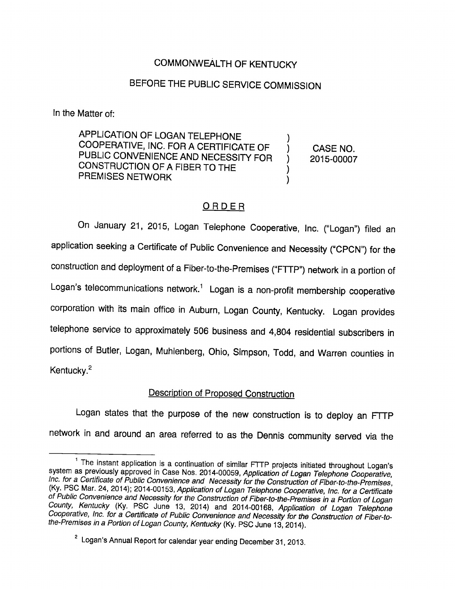### COMMONWEALTH OF KENTUCKY

# BEFORE THE PUBLIC SERVICE COMMISSION

In the Matter of:

APPLICATION OF LOGAN TELEPHONE COOPERATIVE, INC. FOR A CERTIFICATE OF PUBLIC CONVENIENCE AND NECESSITY FOR CONSTRUCTION OF A FIBER TO THE PREMISES NETWORK

CASE NO. 2015-00007

## ORDER

On January 21, 2015, Logan Telephone Cooperative, Inc. ("Logan") filed an application seeking a Certificate of Public Convenience and Necessity ("CPCN") for the construction and deployment of a Fiber-to-the-Premises ("FTTP") network in a portion of Logan's telecommunications network.<sup>1</sup> Logan is a non-profit membership cooperative corporation with its main office in Auburn, Logan County, Kentucky. Logan provides telephone service to approximately 506 business and 4,804 residential subscribers in portions of Butler, Logan, Muhlenberg, Ohio, Simpson, Todd, and Warren counties in Kentucky.<sup>2</sup>

#### Description of Proposed Construction

Logan states that the purpose of the new construction is to deploy an FTTP network in and around an area referred to as the Dennis community served via the

<sup>&</sup>lt;sup>1</sup> The instant application is a continuation of similar FTTP projects initiated throughout Logan's system as previously approved in Case Nos. 2014-00059, Application of Logan Telephone Cooperative, Inc. for a Certificate of Public Convenience and Necessity for the Construction of Fiber-to-the-Premises, (Ky. PSC Mar. 24, 2014); 2014-00153, Application of Logan Telephone Cooperative, Inc. for a Certificate of Public Convenience and Necessity for the Construction of Fiber-to-the-Premises In a Portion of Logan County, Kentucky (Ky. PSC June 13, 2014) and 2014-00168, Application of Logan Telephone Cooperative, Inc. for a Certificate of Public Convenience and Necessity for the Construction of Fiber-tothe-Premises in a Portion of Logan County, Kentucky (Ky. PSC June 13, 2014).

 $^{\circ}$  Logan's Annual Report for calendar year ending December 31, 2013.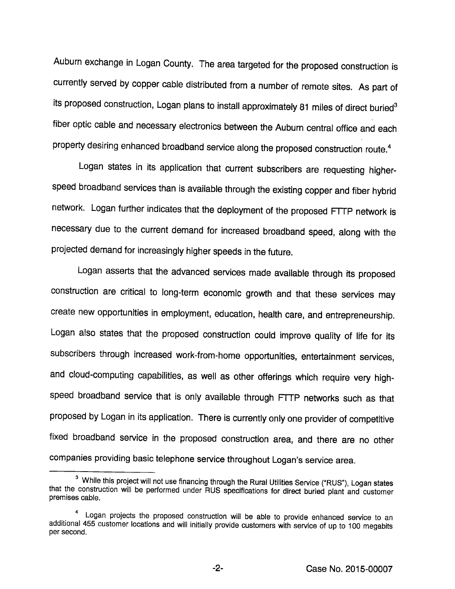Auburn exchange in Logan County. The area targeted for the proposed construction is currently served by copper cable distributed from a number of remote sites. As part of its proposed construction, Logan plans to install approximately 81 miles of direct buried<sup>3</sup> fiber optic cable and necessary electronics between the Auburn central office and each property desiring enhanced broadband service along the proposed construction route.<sup>4</sup>

Logan states in its application that current subscribers are requesting higherspeed broadband services than is available through the existing copper and fiber hybrid network. Logan further indicates that the deployment of the proposed FTTP network is necessary due to the current demand for Increased broadband speed, along with the projected demand for increasingly higher speeds in the future.

Logan asserts that the advanced services made available through its proposed construction are critical to long-term economic growth and that these services may create new opportunities in employment, education, health care, and entrepreneurship. Logan also states that the proposed construction could improve quality of life for its subscribers through increased work-from-home opportunities, entertainment services, and cloud-computing capabilities, as well as other offerings which require very high speed broadband service that is only available through FTTP networks such as that proposed by Logan in its application. There is currently only one provider of competitive fixed broadband service in the proposed construction area, and there are no other companies providing basic telephone service throughout Logan's service area.

 $^3\,$  While this project will not use financing through the Rural Utilities Service ("RUS"), Logan states that the construction will be performed under RUS specifications for direct buried plant and customer premises cable.

Logan projects the proposed construction will be able to provide enhanced service to an additional 455 customer locations and will initiaiiy provide customers with service of up to 100 megabits per second.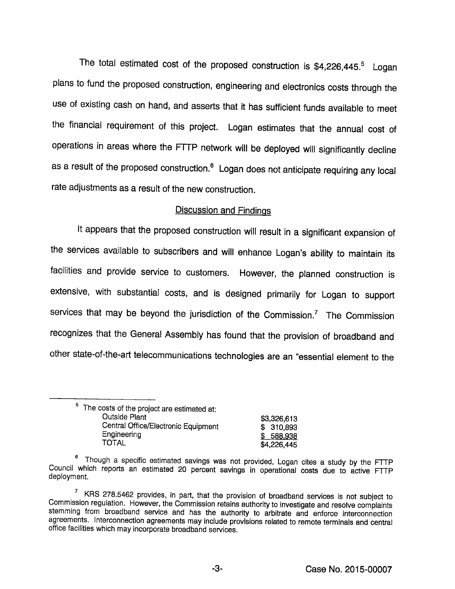The total estimated cost of the proposed construction is  $$4,226,445.$ <sup>5</sup> Logan plans to fund the proposed construction, engineering and electronics costs through the use of existing cash on hand, and asserts that it has sufficient funds available to meet the financial requirement of this project. Logan estimates that the annual cost of operations in areas where the FTTP network will be deployed will significantly decline as a result of the proposed construction.<sup>6</sup> Logan does not anticipate requiring any local rate adjustments as a result of the new construction.

#### Discussion and Findings

it appears that the proposed construction will result in a significant expansion of the services available to subscribers and will enhance Logan's ability to maintain its facilities and provide service to customers. However, the planned construction is extensive, with substantial costs, and is designed primarily for Logan to support services that may be beyond the jurisdiction of the Commission. $<sup>7</sup>$  The Commission</sup> recognizes that the General Assembly has found that the provision of broadband and other state-of-the-art telecommunications technologies are an "essential element to the

| <sup>5</sup> The costs of the project are estimated at: |             |
|---------------------------------------------------------|-------------|
| <b>Outside Plant</b>                                    | \$3,326,613 |
| Central Office/Electronic Equipment                     | \$310,893   |
| Engineering                                             | \$ 588,938  |
| TOTAL                                                   | \$4,226,445 |

<sup>®</sup>Though a specific estimated savings was not provided, Logan cites a study by the FTTP Council which reports an estimated 20 percent savings in operational costs due to active FTTP deployment.

 $\frac{7}{1}$  KRS 278.5462 provides, in part, that the provision of broadband services is not subject to Commission regulation. However, the Commission retains authority to investigate and resolve complaints stemming from broadband service and has the authority to arbitrate and enforce interconnection agreements, interconnection agreements may include provisions related to remote terminals and central office facilities which may incorporate broadband services.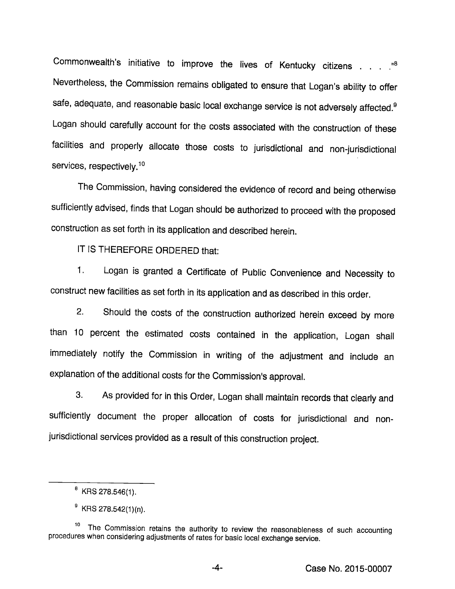Commonwealth's initiative to improve the lives of Kentucky citizens . . . . . <sup>88</sup> Nevertheless, the Commission remains obligated to ensure that Logan's ability to offer safe, adequate, and reasonable basic local exchange service is not adversely affected.<sup>9</sup> Logan should carefully account for the costs associated with the construction of these facilities and properly allocate those costs to jurisdictional and non-jurisdictional services, respectively.<sup>10</sup>

The Commission, having considered the evidence of record and being otherwise sufficiently advised, finds that Logan should be authorized to proceed with the proposed construction as set forth in its application and described herein.

IT IS THEREFORE ORDERED that:

1. Logan is granted a Certificate of Public Convenience and Necessity to construct newfacilities as set forth in its application and as described in this order.

2. Should the costs of the construction authorized herein exceed by more than 10 percent the estimated costs contained in the application, Logan shall immediately notify the Commission in writing of the adjustment and include an explanation of the additional costs for the Commission's approval.

3. As provided for in this Order, Logan shall maintain records that clearly and sufficiently document the proper allocation of costs for jurisdictional and nonjurisdictional services provided as a result of this construction project.

 $<sup>8</sup>$  KRS 278.546(1).</sup>

 $^9$  KRS 278.542(1)(n).

<sup>&</sup>lt;sup>10</sup> The Commission retains the authority to review the reasonableness of such accounting procedures when considering adjustments of rates for basic local exchange service.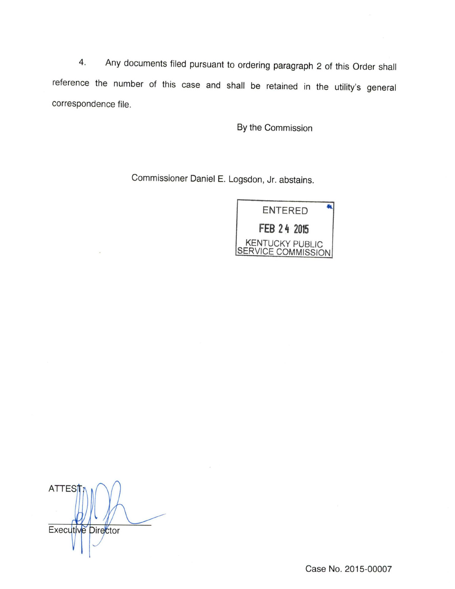4. Any documents filed pursuant to ordering paragraph 2 of this Order shall reference the number of this case and shall be retained in the utility's general correspondence file.

By the Commission

Commissioner Daniel E. Logsdon, Jr. abstains.



ATTES Executive Director

Case No. 2015-00007